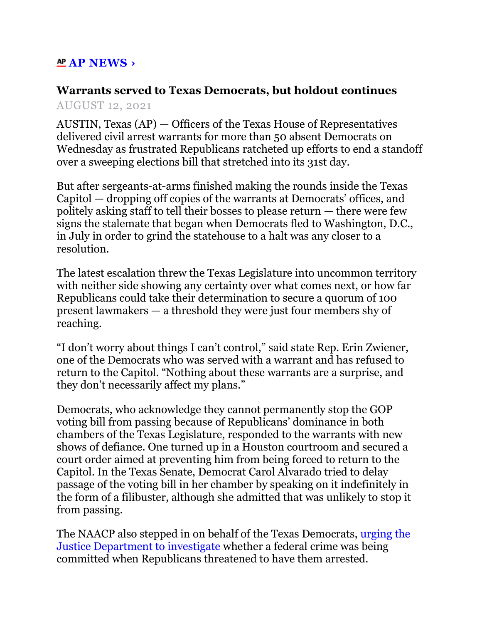## **[AP NEWS ›](https://apnews.com/article/joe-biden-texas-arrests-voting-voting-rights-99aaf409ee834db574a49531d41af07e)**

## **Warrants served to Texas Democrats, but holdout continues** AUGUST 12, 2021

AUSTIN, Texas (AP) — Officers of the Texas House of Representatives delivered civil arrest warrants for more than 50 absent Democrats on Wednesday as frustrated Republicans ratcheted up efforts to end a standoff over a sweeping elections bill that stretched into its 31st day.

But after sergeants-at-arms finished making the rounds inside the Texas Capitol — dropping off copies of the warrants at Democrats' offices, and politely asking staff to tell their bosses to please return — there were few signs the stalemate that began when Democrats fled to Washington, D.C., in July in order to grind the statehouse to a halt was any closer to a resolution.

The latest escalation threw the Texas Legislature into uncommon territory with neither side showing any certainty over what comes next, or how far Republicans could take their determination to secure a quorum of 100 present lawmakers — a threshold they were just four members shy of reaching.

"I don't worry about things I can't control," said state Rep. Erin Zwiener, one of the Democrats who was served with a warrant and has refused to return to the Capitol. "Nothing about these warrants are a surprise, and they don't necessarily affect my plans."

Democrats, who acknowledge they cannot permanently stop the GOP voting bill from passing because of Republicans' dominance in both chambers of the Texas Legislature, responded to the warrants with new shows of defiance. One turned up in a Houston courtroom and secured a court order aimed at preventing him from being forced to return to the Capitol. In the Texas Senate, Democrat Carol Alvarado tried to delay passage of the voting bill in her chamber by speaking on it indefinitely in the form of a filibuster, although she admitted that was unlikely to stop it from passing.

The NAACP also stepped in on behalf of the Texas Democrats, [urging the](https://apnews.com/article/texas-arrests-race-and-ethnicity-naacp-1b3b91bc165315962a8341add8790813)  [Justice Department to investigate](https://apnews.com/article/texas-arrests-race-and-ethnicity-naacp-1b3b91bc165315962a8341add8790813) whether a federal crime was being committed when Republicans threatened to have them arrested.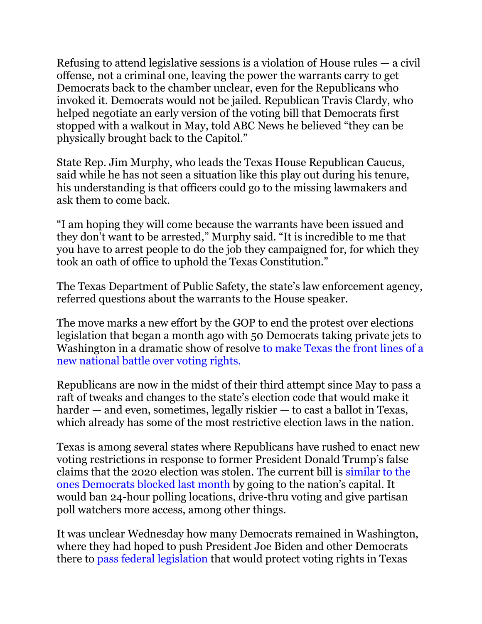Refusing to attend legislative sessions is a violation of House rules — a civil offense, not a criminal one, leaving the power the warrants carry to get Democrats back to the chamber unclear, even for the Republicans who invoked it. Democrats would not be jailed. Republican Travis Clardy, who helped negotiate an early version of the voting bill that Democrats first stopped with a walkout in May, told ABC News he believed "they can be physically brought back to the Capitol."

State Rep. Jim Murphy, who leads the Texas House Republican Caucus, said while he has not seen a situation like this play out during his tenure, his understanding is that officers could go to the missing lawmakers and ask them to come back.

"I am hoping they will come because the warrants have been issued and they don't want to be arrested," Murphy said. "It is incredible to me that you have to arrest people to do the job they campaigned for, for which they took an oath of office to uphold the Texas Constitution."

The Texas Department of Public Safety, the state's law enforcement agency, referred questions about the warrants to the House speaker.

The move marks a new effort by the GOP to end the protest over elections legislation that began a month ago with 50 Democrats taking private jets to Washington in a dramatic show of resolve [to make Texas the front lines of a](https://apnews.com/article/explaining-texas-democrats-walkout-99429d735b2ddf3c54bf119175ddc84d)  [new national battle over voting rights.](https://apnews.com/article/explaining-texas-democrats-walkout-99429d735b2ddf3c54bf119175ddc84d)

Republicans are now in the midst of their third attempt since May to pass a raft of tweaks and changes to the state's election code that would make it harder — and even, sometimes, legally riskier — to cast a ballot in Texas, which already has some of the most restrictive election laws in the nation.

Texas is among several states where Republicans have rushed to enact new voting restrictions in response to former President Donald Trump's false claims that the 2020 election was stolen. The current bill is [similar to the](https://apnews.com/article/health-government-and-politics-texas-voting-coronavirus-pandemic-9bc36a6e8c967757340ab25f49b8ddbf)  [ones Democrats blocked last month](https://apnews.com/article/health-government-and-politics-texas-voting-coronavirus-pandemic-9bc36a6e8c967757340ab25f49b8ddbf) by going to the nation's capital. It would ban 24-hour polling locations, drive-thru voting and give partisan poll watchers more access, among other things.

It was unclear Wednesday how many Democrats remained in Washington, where they had hoped to push President Joe Biden and other Democrats there to [pass federal legislation](https://apnews.com/article/joe-biden-elections-senate-elections-bills-d417ab8e6db2726eb79a8f2ce28baeca) that would protect voting rights in Texas